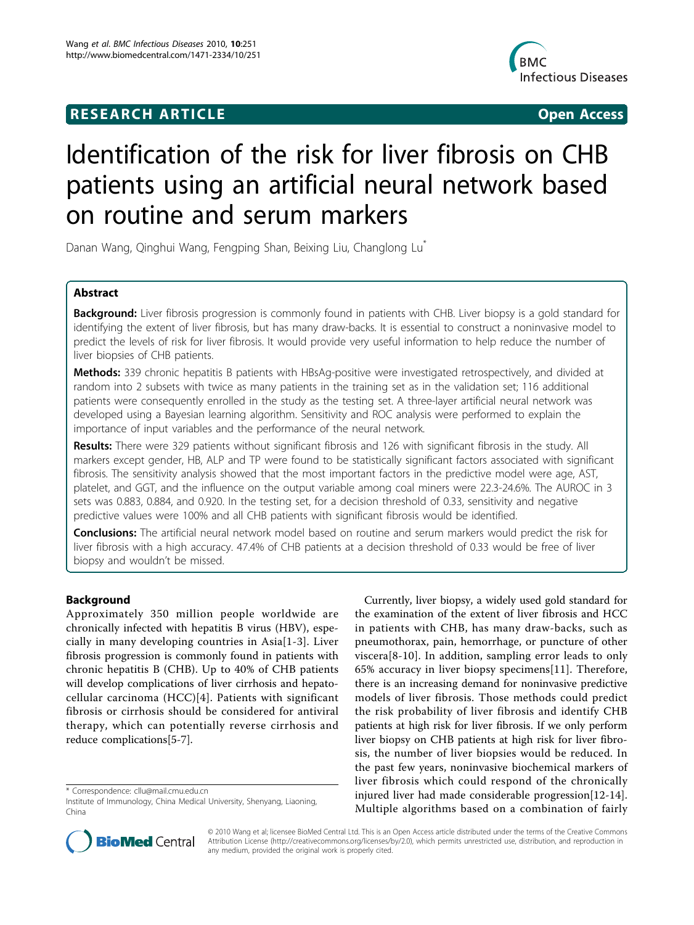## **RESEARCH ARTICLE Example 2018 CONSIDERING ACCESS**



# Identification of the risk for liver fibrosis on CHB patients using an artificial neural network based on routine and serum markers

Danan Wang, Qinghui Wang, Fengping Shan, Beixing Liu, Changlong Lu<sup>\*</sup>

## Abstract

Background: Liver fibrosis progression is commonly found in patients with CHB. Liver biopsy is a gold standard for identifying the extent of liver fibrosis, but has many draw-backs. It is essential to construct a noninvasive model to predict the levels of risk for liver fibrosis. It would provide very useful information to help reduce the number of liver biopsies of CHB patients.

Methods: 339 chronic hepatitis B patients with HBsAg-positive were investigated retrospectively, and divided at random into 2 subsets with twice as many patients in the training set as in the validation set; 116 additional patients were consequently enrolled in the study as the testing set. A three-layer artificial neural network was developed using a Bayesian learning algorithm. Sensitivity and ROC analysis were performed to explain the importance of input variables and the performance of the neural network.

Results: There were 329 patients without significant fibrosis and 126 with significant fibrosis in the study. All markers except gender, HB, ALP and TP were found to be statistically significant factors associated with significant fibrosis. The sensitivity analysis showed that the most important factors in the predictive model were age, AST, platelet, and GGT, and the influence on the output variable among coal miners were 22.3-24.6%. The AUROC in 3 sets was 0.883, 0.884, and 0.920. In the testing set, for a decision threshold of 0.33, sensitivity and negative predictive values were 100% and all CHB patients with significant fibrosis would be identified.

**Conclusions:** The artificial neural network model based on routine and serum markers would predict the risk for liver fibrosis with a high accuracy. 47.4% of CHB patients at a decision threshold of 0.33 would be free of liver biopsy and wouldn't be missed.

## Background

Approximately 350 million people worldwide are chronically infected with hepatitis B virus (HBV), especially in many developing countries in Asia[[1](#page-6-0)-[3\]](#page-6-0). Liver fibrosis progression is commonly found in patients with chronic hepatitis B (CHB). Up to 40% of CHB patients will develop complications of liver cirrhosis and hepatocellular carcinoma (HCC)[[4\]](#page-6-0). Patients with significant fibrosis or cirrhosis should be considered for antiviral therapy, which can potentially reverse cirrhosis and reduce complications[[5-7](#page-6-0)].

\* Correspondence: [cllu@mail.cmu.edu.cn](mailto:cllu@mail.cmu.edu.cn)

Currently, liver biopsy, a widely used gold standard for the examination of the extent of liver fibrosis and HCC in patients with CHB, has many draw-backs, such as pneumothorax, pain, hemorrhage, or puncture of other viscera[[8-10\]](#page-6-0). In addition, sampling error leads to only 65% accuracy in liver biopsy specimens[[11\]](#page-6-0). Therefore, there is an increasing demand for noninvasive predictive models of liver fibrosis. Those methods could predict the risk probability of liver fibrosis and identify CHB patients at high risk for liver fibrosis. If we only perform liver biopsy on CHB patients at high risk for liver fibrosis, the number of liver biopsies would be reduced. In the past few years, noninvasive biochemical markers of liver fibrosis which could respond of the chronically injured liver had made considerable progression[[12-14](#page-6-0)]. Multiple algorithms based on a combination of fairly



© 2010 Wang et al; licensee BioMed Central Ltd. This is an Open Access article distributed under the terms of the Creative Commons Attribution License [\(http://creativecommons.org/licenses/by/2.0](http://creativecommons.org/licenses/by/2.0)), which permits unrestricted use, distribution, and reproduction in any medium, provided the original work is properly cited.

Institute of Immunology, China Medical University, Shenyang, Liaoning, China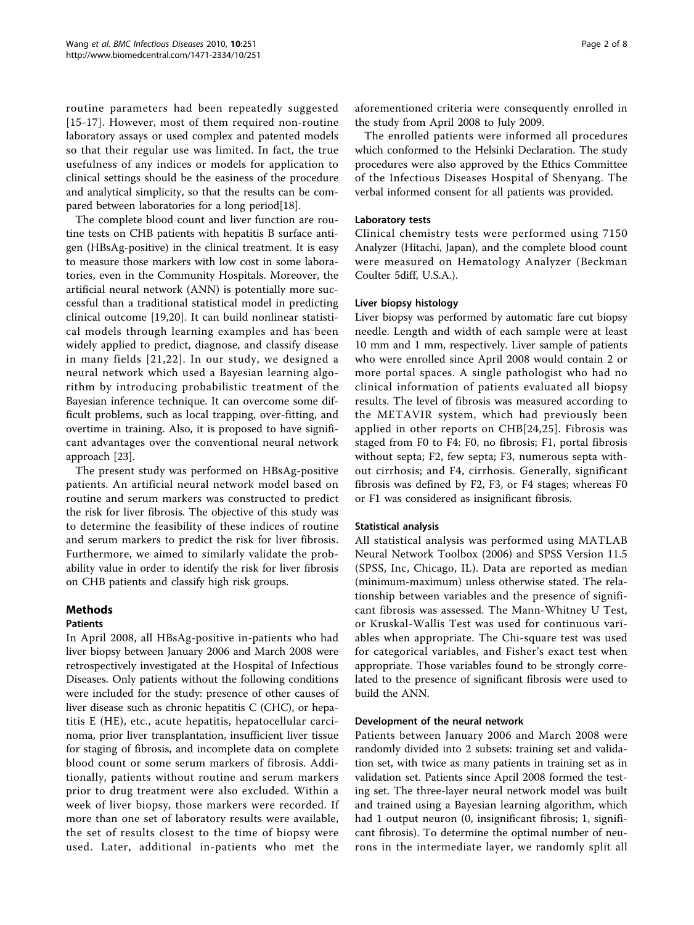routine parameters had been repeatedly suggested [[15](#page-6-0)-[17](#page-6-0)]. However, most of them required non-routine laboratory assays or used complex and patented models so that their regular use was limited. In fact, the true usefulness of any indices or models for application to clinical settings should be the easiness of the procedure and analytical simplicity, so that the results can be compared between laboratories for a long period[\[18\]](#page-6-0).

The complete blood count and liver function are routine tests on CHB patients with hepatitis B surface antigen (HBsAg-positive) in the clinical treatment. It is easy to measure those markers with low cost in some laboratories, even in the Community Hospitals. Moreover, the artificial neural network (ANN) is potentially more successful than a traditional statistical model in predicting clinical outcome [[19,20\]](#page-6-0). It can build nonlinear statistical models through learning examples and has been widely applied to predict, diagnose, and classify disease in many fields [[21,22](#page-6-0)]. In our study, we designed a neural network which used a Bayesian learning algorithm by introducing probabilistic treatment of the Bayesian inference technique. It can overcome some difficult problems, such as local trapping, over-fitting, and overtime in training. Also, it is proposed to have significant advantages over the conventional neural network approach [[23](#page-6-0)].

The present study was performed on HBsAg-positive patients. An artificial neural network model based on routine and serum markers was constructed to predict the risk for liver fibrosis. The objective of this study was to determine the feasibility of these indices of routine and serum markers to predict the risk for liver fibrosis. Furthermore, we aimed to similarly validate the probability value in order to identify the risk for liver fibrosis on CHB patients and classify high risk groups.

## Methods

## Patients

In April 2008, all HBsAg-positive in-patients who had liver biopsy between January 2006 and March 2008 were retrospectively investigated at the Hospital of Infectious Diseases. Only patients without the following conditions were included for the study: presence of other causes of liver disease such as chronic hepatitis C (CHC), or hepatitis E (HE), etc., acute hepatitis, hepatocellular carcinoma, prior liver transplantation, insufficient liver tissue for staging of fibrosis, and incomplete data on complete blood count or some serum markers of fibrosis. Additionally, patients without routine and serum markers prior to drug treatment were also excluded. Within a week of liver biopsy, those markers were recorded. If more than one set of laboratory results were available, the set of results closest to the time of biopsy were used. Later, additional in-patients who met the aforementioned criteria were consequently enrolled in the study from April 2008 to July 2009.

The enrolled patients were informed all procedures which conformed to the Helsinki Declaration. The study procedures were also approved by the Ethics Committee of the Infectious Diseases Hospital of Shenyang. The verbal informed consent for all patients was provided.

## Laboratory tests

Clinical chemistry tests were performed using 7150 Analyzer (Hitachi, Japan), and the complete blood count were measured on Hematology Analyzer (Beckman Coulter 5diff, U.S.A.).

## Liver biopsy histology

Liver biopsy was performed by automatic fare cut biopsy needle. Length and width of each sample were at least 10 mm and 1 mm, respectively. Liver sample of patients who were enrolled since April 2008 would contain 2 or more portal spaces. A single pathologist who had no clinical information of patients evaluated all biopsy results. The level of fibrosis was measured according to the METAVIR system, which had previously been applied in other reports on CHB[[24,25\]](#page-6-0). Fibrosis was staged from F0 to F4: F0, no fibrosis; F1, portal fibrosis without septa; F2, few septa; F3, numerous septa without cirrhosis; and F4, cirrhosis. Generally, significant fibrosis was defined by F2, F3, or F4 stages; whereas F0 or F1 was considered as insignificant fibrosis.

## Statistical analysis

All statistical analysis was performed using MATLAB Neural Network Toolbox (2006) and SPSS Version 11.5 (SPSS, Inc, Chicago, IL). Data are reported as median (minimum-maximum) unless otherwise stated. The relationship between variables and the presence of significant fibrosis was assessed. The Mann-Whitney U Test, or Kruskal-Wallis Test was used for continuous variables when appropriate. The Chi-square test was used for categorical variables, and Fisher's exact test when appropriate. Those variables found to be strongly correlated to the presence of significant fibrosis were used to build the ANN.

## Development of the neural network

Patients between January 2006 and March 2008 were randomly divided into 2 subsets: training set and validation set, with twice as many patients in training set as in validation set. Patients since April 2008 formed the testing set. The three-layer neural network model was built and trained using a Bayesian learning algorithm, which had 1 output neuron (0, insignificant fibrosis; 1, significant fibrosis). To determine the optimal number of neurons in the intermediate layer, we randomly split all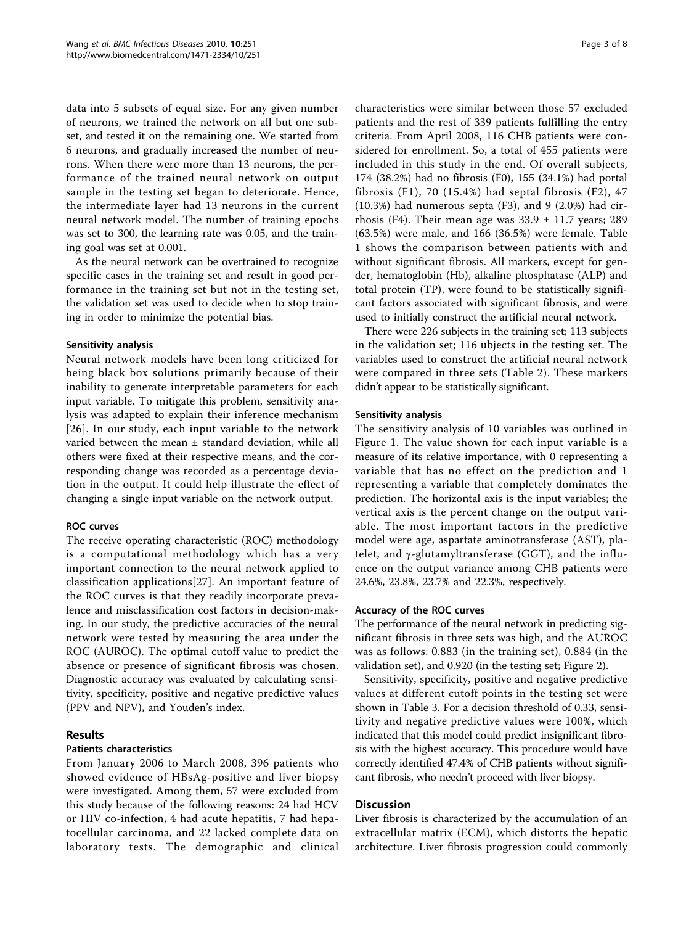data into 5 subsets of equal size. For any given number of neurons, we trained the network on all but one subset, and tested it on the remaining one. We started from 6 neurons, and gradually increased the number of neurons. When there were more than 13 neurons, the performance of the trained neural network on output sample in the testing set began to deteriorate. Hence, the intermediate layer had 13 neurons in the current neural network model. The number of training epochs was set to 300, the learning rate was 0.05, and the training goal was set at 0.001.

As the neural network can be overtrained to recognize specific cases in the training set and result in good performance in the training set but not in the testing set, the validation set was used to decide when to stop training in order to minimize the potential bias.

## Sensitivity analysis

Neural network models have been long criticized for being black box solutions primarily because of their inability to generate interpretable parameters for each input variable. To mitigate this problem, sensitivity analysis was adapted to explain their inference mechanism [[26](#page-6-0)]. In our study, each input variable to the network varied between the mean  $\pm$  standard deviation, while all others were fixed at their respective means, and the corresponding change was recorded as a percentage deviation in the output. It could help illustrate the effect of changing a single input variable on the network output.

## ROC curves

The receive operating characteristic (ROC) methodology is a computational methodology which has a very important connection to the neural network applied to classification applications[\[27\]](#page-6-0). An important feature of the ROC curves is that they readily incorporate prevalence and misclassification cost factors in decision-making. In our study, the predictive accuracies of the neural network were tested by measuring the area under the ROC (AUROC). The optimal cutoff value to predict the absence or presence of significant fibrosis was chosen. Diagnostic accuracy was evaluated by calculating sensitivity, specificity, positive and negative predictive values (PPV and NPV), and Youden's index.

## Results

## Patients characteristics

From January 2006 to March 2008, 396 patients who showed evidence of HBsAg-positive and liver biopsy were investigated. Among them, 57 were excluded from this study because of the following reasons: 24 had HCV or HIV co-infection, 4 had acute hepatitis, 7 had hepatocellular carcinoma, and 22 lacked complete data on laboratory tests. The demographic and clinical

characteristics were similar between those 57 excluded patients and the rest of 339 patients fulfilling the entry criteria. From April 2008, 116 CHB patients were considered for enrollment. So, a total of 455 patients were included in this study in the end. Of overall subjects, 174 (38.2%) had no fibrosis (F0), 155 (34.1%) had portal fibrosis (F1), 70 (15.4%) had septal fibrosis (F2), 47  $(10.3%)$  had numerous septa  $(F3)$ , and 9  $(2.0%)$  had cirrhosis (F4). Their mean age was  $33.9 \pm 11.7$  years; 289 (63.5%) were male, and 166 (36.5%) were female. Table [1](#page-3-0) shows the comparison between patients with and without significant fibrosis. All markers, except for gender, hematoglobin (Hb), alkaline phosphatase (ALP) and total protein (TP), were found to be statistically significant factors associated with significant fibrosis, and were used to initially construct the artificial neural network.

There were 226 subjects in the training set; 113 subjects in the validation set; 116 ubjects in the testing set. The variables used to construct the artificial neural network were compared in three sets (Table [2](#page-3-0)). These markers didn't appear to be statistically significant.

#### Sensitivity analysis

The sensitivity analysis of 10 variables was outlined in Figure [1](#page-4-0). The value shown for each input variable is a measure of its relative importance, with 0 representing a variable that has no effect on the prediction and 1 representing a variable that completely dominates the prediction. The horizontal axis is the input variables; the vertical axis is the percent change on the output variable. The most important factors in the predictive model were age, aspartate aminotransferase (AST), platelet, and  $\gamma$ -glutamyltransferase (GGT), and the influence on the output variance among CHB patients were 24.6%, 23.8%, 23.7% and 22.3%, respectively.

#### Accuracy of the ROC curves

The performance of the neural network in predicting significant fibrosis in three sets was high, and the AUROC was as follows: 0.883 (in the training set), 0.884 (in the validation set), and 0.920 (in the testing set; Figure [2](#page-4-0)).

Sensitivity, specificity, positive and negative predictive values at different cutoff points in the testing set were shown in Table [3.](#page-5-0) For a decision threshold of 0.33, sensitivity and negative predictive values were 100%, which indicated that this model could predict insignificant fibrosis with the highest accuracy. This procedure would have correctly identified 47.4% of CHB patients without significant fibrosis, who needn't proceed with liver biopsy.

## **Discussion**

Liver fibrosis is characterized by the accumulation of an extracellular matrix (ECM), which distorts the hepatic architecture. Liver fibrosis progression could commonly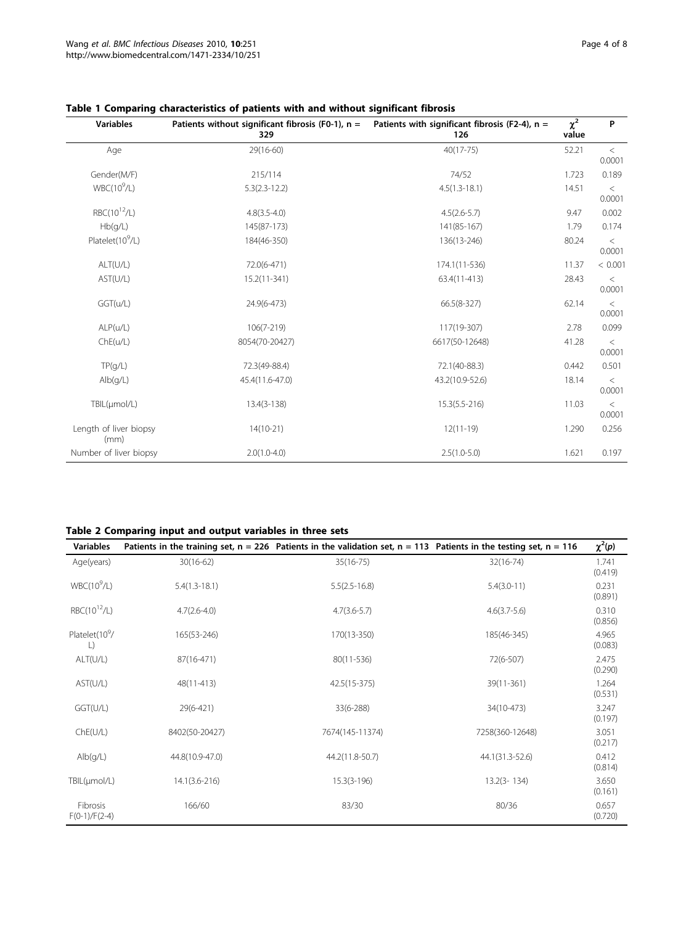| <b>Variables</b>               | Patients without significant fibrosis (F0-1), $n =$<br>329 | Patients with significant fibrosis (F2-4), $n =$<br>126 | $\overline{\chi^2}$<br>value | P                 |
|--------------------------------|------------------------------------------------------------|---------------------------------------------------------|------------------------------|-------------------|
| Age                            | 29(16-60)                                                  | $40(17 - 75)$                                           | 52.21                        | $\,<\,$<br>0.0001 |
| Gender(M/F)                    | 215/114                                                    | 74/52                                                   | 1.723                        | 0.189             |
| $WBC(10^9/L)$                  | $5.3(2.3-12.2)$                                            | $4.5(1.3-18.1)$                                         | 14.51                        | $\,<\,$<br>0.0001 |
| $RBC(10^{12}/L)$               | $4.8(3.5 - 4.0)$                                           | $4.5(2.6-5.7)$                                          | 9.47                         | 0.002             |
| Hb(g/L)                        | 145(87-173)                                                | 141(85-167)                                             | 1.79                         | 0.174             |
| Platelet(10 <sup>9</sup> /L)   | 184(46-350)                                                | 136(13-246)                                             | 80.24                        | $\,<\,$<br>0.0001 |
| ALT(U/L)                       | 72.0(6-471)                                                | 174.1(11-536)                                           | 11.37                        | < 0.001           |
| AST(U/L)                       | $15.2(11-341)$                                             | 63.4(11-413)                                            | 28.43                        | $\lt$<br>0.0001   |
| GGT(u/L)                       | 24.9(6-473)                                                | 66.5(8-327)                                             | 62.14                        | $\lt$<br>0.0001   |
| ALP(u/L)                       | $106(7-219)$                                               | 117(19-307)                                             | 2.78                         | 0.099             |
| Che(u/L)                       | 8054(70-20427)                                             | 6617(50-12648)                                          | 41.28                        | $\,<\,$<br>0.0001 |
| TP(g/L)                        | 72.3(49-88.4)                                              | 72.1(40-88.3)                                           | 0.442                        | 0.501             |
| Alb(g/L)                       | 45.4(11.6-47.0)                                            | 43.2(10.9-52.6)                                         | 18.14                        | $\,<\,$<br>0.0001 |
| TBIL(µmol/L)                   | $13.4(3-138)$                                              | $15.3(5.5 - 216)$                                       | 11.03                        | $\,<\,$<br>0.0001 |
| Length of liver biopsy<br>(mm) | $14(10-21)$                                                | $12(11-19)$                                             | 1.290                        | 0.256             |
| Number of liver biopsy         | $2.0(1.0-4.0)$                                             | $2.5(1.0-5.0)$                                          | 1.621                        | 0.197             |

## <span id="page-3-0"></span>Table 1 Comparing characteristics of patients with and without significant fibrosis

## Table 2 Comparing input and output variables in three sets

| <b>Variables</b>                     |                   | Patients in the training set, $n = 226$ Patients in the validation set, $n = 113$ Patients in the testing set, $n = 116$ |                 | $\chi^2(p)$      |
|--------------------------------------|-------------------|--------------------------------------------------------------------------------------------------------------------------|-----------------|------------------|
| Age(years)                           | $30(16-62)$       | $35(16-75)$                                                                                                              | $32(16-74)$     | 1.741<br>(0.419) |
| $WBC(10^9/L)$                        | $5.4(1.3-18.1)$   | $5.5(2.5 - 16.8)$                                                                                                        | $5.4(3.0-11)$   | 0.231<br>(0.891) |
| $RBC(10^{12}/L)$                     | $4.7(2.6 - 4.0)$  | $4.7(3.6-5.7)$                                                                                                           | $4.6(3.7-5.6)$  | 0.310<br>(0.856) |
| Platelet(10 <sup>9</sup> /<br>$\Box$ | 165(53-246)       | 170(13-350)                                                                                                              | 185(46-345)     | 4.965<br>(0.083) |
| ALT(U/L)                             | 87(16-471)        | 80(11-536)                                                                                                               | 72(6-507)       | 2.475<br>(0.290) |
| AST(U/L)                             | 48(11-413)        | 42.5(15-375)                                                                                                             | 39(11-361)      | 1.264<br>(0.531) |
| GGT(U/L)                             | 29(6-421)         | 33(6-288)                                                                                                                | 34(10-473)      | 3.247<br>(0.197) |
| Che(U/L)                             | 8402(50-20427)    | 7674(145-11374)                                                                                                          | 7258(360-12648) | 3.051<br>(0.217) |
| Alb(q/L)                             | 44.8(10.9-47.0)   | 44.2(11.8-50.7)                                                                                                          | 44.1(31.3-52.6) | 0.412<br>(0.814) |
| TBIL(µmol/L)                         | $14.1(3.6 - 216)$ | $15.3(3-196)$                                                                                                            | $13.2(3 - 134)$ | 3.650<br>(0.161) |
| Fibrosis<br>$F(0-1)/F(2-4)$          | 166/60            | 83/30                                                                                                                    | 80/36           | 0.657<br>(0.720) |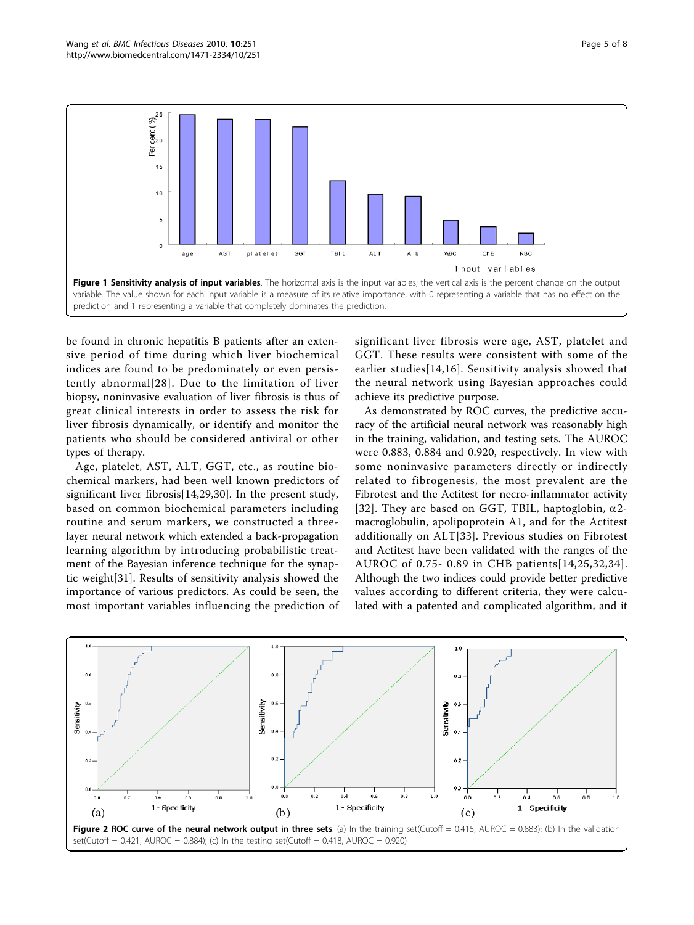<span id="page-4-0"></span>

be found in chronic hepatitis B patients after an extensive period of time during which liver biochemical indices are found to be predominately or even persistently abnormal[[28\]](#page-6-0). Due to the limitation of liver biopsy, noninvasive evaluation of liver fibrosis is thus of great clinical interests in order to assess the risk for liver fibrosis dynamically, or identify and monitor the patients who should be considered antiviral or other types of therapy.

Age, platelet, AST, ALT, GGT, etc., as routine biochemical markers, had been well known predictors of significant liver fibrosis[[14,29,30\]](#page-6-0). In the present study, based on common biochemical parameters including routine and serum markers, we constructed a threelayer neural network which extended a back-propagation learning algorithm by introducing probabilistic treatment of the Bayesian inference technique for the synaptic weight[[31\]](#page-6-0). Results of sensitivity analysis showed the importance of various predictors. As could be seen, the most important variables influencing the prediction of

significant liver fibrosis were age, AST, platelet and GGT. These results were consistent with some of the earlier studies[[14](#page-6-0),[16](#page-6-0)]. Sensitivity analysis showed that the neural network using Bayesian approaches could achieve its predictive purpose.

As demonstrated by ROC curves, the predictive accuracy of the artificial neural network was reasonably high in the training, validation, and testing sets. The AUROC were 0.883, 0.884 and 0.920, respectively. In view with some noninvasive parameters directly or indirectly related to fibrogenesis, the most prevalent are the Fibrotest and the Actitest for necro-inflammator activity [[32](#page-6-0)]. They are based on GGT, TBIL, haptoglobin,  $\alpha$ 2macroglobulin, apolipoprotein A1, and for the Actitest additionally on ALT[[33](#page-6-0)]. Previous studies on Fibrotest and Actitest have been validated with the ranges of the AUROC of 0.75- 0.89 in CHB patients[[14](#page-6-0),[25](#page-6-0),[32,34\]](#page-6-0). Although the two indices could provide better predictive values according to different criteria, they were calculated with a patented and complicated algorithm, and it

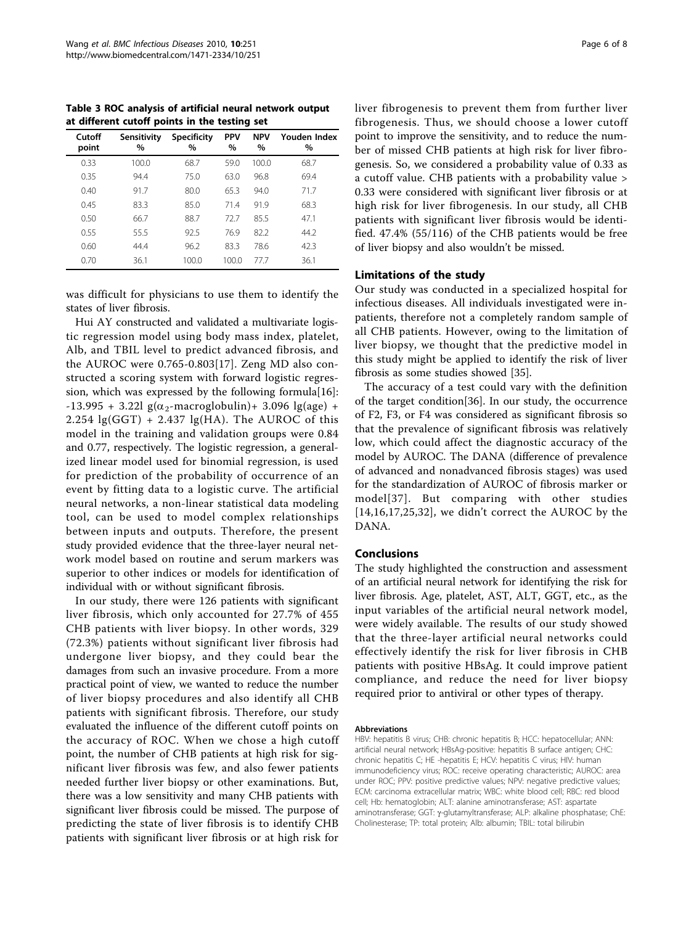<span id="page-5-0"></span>Table 3 ROC analysis of artificial neural network output at different cutoff points in the testing set

| Cutoff<br>point | Sensitivity<br>$\%$ | <b>Specificity</b><br>$\%$ | <b>PPV</b><br>$\%$ | <b>NPV</b><br>$\%$ | Youden Index<br>$\%$ |
|-----------------|---------------------|----------------------------|--------------------|--------------------|----------------------|
| 0.33            | 100.0               | 68.7                       | 59.0               | 100.0              | 68.7                 |
| 0.35            | 94.4                | 75.0                       | 63.0               | 96.8               | 69.4                 |
| 0.40            | 91.7                | 80.0                       | 65.3               | 94.0               | 71.7                 |
| 0.45            | 83.3                | 85.0                       | 71.4               | 91.9               | 68.3                 |
| 0.50            | 66.7                | 88.7                       | 72.7               | 85.5               | 47.1                 |
| 0.55            | 55.5                | 92.5                       | 76.9               | 82.2               | 44.2                 |
| 0.60            | 44.4                | 96.2                       | 83.3               | 78.6               | 42.3                 |
| 0.70            | 36.1                | 100.0                      | 100.0              | 77.7               | 36.1                 |

was difficult for physicians to use them to identify the states of liver fibrosis.

Hui AY constructed and validated a multivariate logistic regression model using body mass index, platelet, Alb, and TBIL level to predict advanced fibrosis, and the AUROC were 0.765-0.803[[17\]](#page-6-0). Zeng MD also constructed a scoring system with forward logistic regression, which was expressed by the following formula[\[16](#page-6-0)]:  $-13.995 + 3.22$ l g( $\alpha_2$ -macroglobulin) + 3.096 lg(age) + 2.254  $\lg(GGT)$  + 2.437  $\lg(HA)$ . The AUROC of this model in the training and validation groups were 0.84 and 0.77, respectively. The logistic regression, a generalized linear model used for binomial regression, is used for prediction of the probability of occurrence of an event by fitting data to a logistic curve. The artificial neural networks, a non-linear statistical data modeling tool, can be used to model complex relationships between inputs and outputs. Therefore, the present study provided evidence that the three-layer neural network model based on routine and serum markers was superior to other indices or models for identification of individual with or without significant fibrosis.

In our study, there were 126 patients with significant liver fibrosis, which only accounted for 27.7% of 455 CHB patients with liver biopsy. In other words, 329 (72.3%) patients without significant liver fibrosis had undergone liver biopsy, and they could bear the damages from such an invasive procedure. From a more practical point of view, we wanted to reduce the number of liver biopsy procedures and also identify all CHB patients with significant fibrosis. Therefore, our study evaluated the influence of the different cutoff points on the accuracy of ROC. When we chose a high cutoff point, the number of CHB patients at high risk for significant liver fibrosis was few, and also fewer patients needed further liver biopsy or other examinations. But, there was a low sensitivity and many CHB patients with significant liver fibrosis could be missed. The purpose of predicting the state of liver fibrosis is to identify CHB patients with significant liver fibrosis or at high risk for liver fibrogenesis to prevent them from further liver fibrogenesis. Thus, we should choose a lower cutoff point to improve the sensitivity, and to reduce the number of missed CHB patients at high risk for liver fibrogenesis. So, we considered a probability value of 0.33 as a cutoff value. CHB patients with a probability value > 0.33 were considered with significant liver fibrosis or at high risk for liver fibrogenesis. In our study, all CHB patients with significant liver fibrosis would be identified. 47.4% (55/116) of the CHB patients would be free of liver biopsy and also wouldn't be missed.

## Limitations of the study

Our study was conducted in a specialized hospital for infectious diseases. All individuals investigated were inpatients, therefore not a completely random sample of all CHB patients. However, owing to the limitation of liver biopsy, we thought that the predictive model in this study might be applied to identify the risk of liver fibrosis as some studies showed [\[35](#page-6-0)].

The accuracy of a test could vary with the definition of the target condition[[36](#page-6-0)]. In our study, the occurrence of F2, F3, or F4 was considered as significant fibrosis so that the prevalence of significant fibrosis was relatively low, which could affect the diagnostic accuracy of the model by AUROC. The DANA (difference of prevalence of advanced and nonadvanced fibrosis stages) was used for the standardization of AUROC of fibrosis marker or model[[37\]](#page-6-0). But comparing with other studies [[14](#page-6-0),[16,17,25](#page-6-0),[32\]](#page-6-0), we didn't correct the AUROC by the DANA.

## Conclusions

The study highlighted the construction and assessment of an artificial neural network for identifying the risk for liver fibrosis. Age, platelet, AST, ALT, GGT, etc., as the input variables of the artificial neural network model, were widely available. The results of our study showed that the three-layer artificial neural networks could effectively identify the risk for liver fibrosis in CHB patients with positive HBsAg. It could improve patient compliance, and reduce the need for liver biopsy required prior to antiviral or other types of therapy.

#### Abbreviations

HBV: hepatitis B virus; CHB: chronic hepatitis B; HCC: hepatocellular; ANN: artificial neural network; HBsAg-positive: hepatitis B surface antigen; CHC: chronic hepatitis C; HE -hepatitis E; HCV: hepatitis C virus; HIV: human immunodeficiency virus; ROC: receive operating characteristic; AUROC: area under ROC; PPV: positive predictive values; NPV: negative predictive values; ECM: carcinoma extracellular matrix; WBC: white blood cell; RBC: red blood cell; Hb: hematoglobin; ALT: alanine aminotransferase; AST: aspartate aminotransferase; GGT: y-glutamyltransferase; ALP: alkaline phosphatase; ChE: Cholinesterase; TP: total protein; Alb: albumin; TBIL: total bilirubin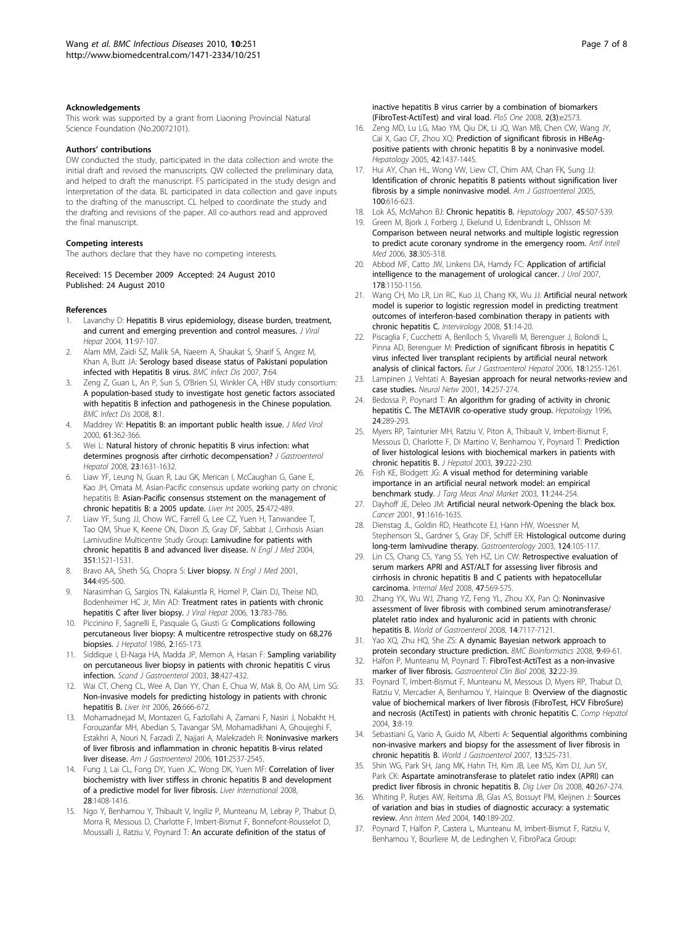#### <span id="page-6-0"></span>Acknowledgements

This work was supported by a grant from Liaoning Provincial Natural Science Foundation (No.20072101).

#### Authors' contributions

DW conducted the study, participated in the data collection and wrote the initial draft and revised the manuscripts. QW collected the preliminary data, and helped to draft the manuscript. FS participated in the study design and interpretation of the data. BL participated in data collection and gave inputs to the drafting of the manuscript. CL helped to coordinate the study and the drafting and revisions of the paper. All co-authors read and approved the final manuscript.

#### Competing interests

The authors declare that they have no competing interests.

Received: 15 December 2009 Accepted: 24 August 2010 Published: 24 August 2010

#### References

- 1. Lavanchy D: [Hepatitis B virus epidemiology, disease burden, treatment,](http://www.ncbi.nlm.nih.gov/pubmed/14996343?dopt=Abstract) [and current and emerging prevention and control measures.](http://www.ncbi.nlm.nih.gov/pubmed/14996343?dopt=Abstract) J Viral Hepat 2004, 11:97-107.
- 2. Alam MM, Zaidi SZ, Malik SA, Naeem A, Shaukat S, Sharif S, Angez M, Khan A, Butt JA: [Serology based disease status of Pakistani population](http://www.ncbi.nlm.nih.gov/pubmed/17597512?dopt=Abstract) [infected with Hepatitis B virus.](http://www.ncbi.nlm.nih.gov/pubmed/17597512?dopt=Abstract) BMC Infect Dis 2007, 7:64.
- 3. Zeng Z, Guan L, An P, Sun S, O'Brien SJ, Winkler CA, HBV study consortium: [A population-based study to investigate host genetic factors associated](http://www.ncbi.nlm.nih.gov/pubmed/18171470?dopt=Abstract) [with hepatitis B infection and pathogenesis in the Chinese population.](http://www.ncbi.nlm.nih.gov/pubmed/18171470?dopt=Abstract) BMC Infect Dis 2008. 8:1.
- Maddrey W: [Hepatitis B: an important public health issue.](http://www.ncbi.nlm.nih.gov/pubmed/10861647?dopt=Abstract) J Med Virol 2000, 61:362-366.
- 5. Wei L: [Natural history of chronic hepatitis B virus infection: what](http://www.ncbi.nlm.nih.gov/pubmed/19120855?dopt=Abstract) [determines prognosis after cirrhotic decompensation?](http://www.ncbi.nlm.nih.gov/pubmed/19120855?dopt=Abstract) J Gastroenterol Hepatol 2008, 23:1631-1632.
- Liaw YF, Leung N, Guan R, Lau GK, Merican I, McCaughan G, Gane E, Kao JH, Omata M, Asian-Pacific consensus update working party on chronic hepatitis B: [Asian-Pacific consensus ststement on the management of](http://www.ncbi.nlm.nih.gov/pubmed/15910483?dopt=Abstract) [chronic hepatitis B: a 2005 update.](http://www.ncbi.nlm.nih.gov/pubmed/15910483?dopt=Abstract) Liver Int 2005, 25:472-489.
- 7. Liaw YF, Sung JJ, Chow WC, Farrell G, Lee CZ, Yuen H, Tanwandee T, Tao QM, Shue K, Keene ON, Dixon JS, Gray DF, Sabbat J, Cirrhosis Asian Lamivudine Multicentre Study Group: [Lamivudine for patients with](http://www.ncbi.nlm.nih.gov/pubmed/15470215?dopt=Abstract) [chronic hepatitis B and advanced liver disease.](http://www.ncbi.nlm.nih.gov/pubmed/15470215?dopt=Abstract) N Engl J Med 2004, 351:1521-1531.
- 8. Bravo AA, Sheth SG, Chopra S: [Liver biopsy.](http://www.ncbi.nlm.nih.gov/pubmed/11172192?dopt=Abstract) N Engl J Med 2001, 344:495-500.
- 9. Narasimhan G, Sargios TN, Kalakuntla R, Homel P, Clain DJ, Theise ND, Bodenheimer HC Jr, Min AD: [Treatment rates in patients with chronic](http://www.ncbi.nlm.nih.gov/pubmed/17052279?dopt=Abstract) [hepatitis C after liver biopsy.](http://www.ncbi.nlm.nih.gov/pubmed/17052279?dopt=Abstract) J Viral Hepat 2006, 13:783-786.
- 10. Piccinino F, Sagnelli E, Pasquale G, Giusti G: [Complications following](http://www.ncbi.nlm.nih.gov/pubmed/3958472?dopt=Abstract) [percutaneous liver biopsy: A multicentre retrospective study on 68,276](http://www.ncbi.nlm.nih.gov/pubmed/3958472?dopt=Abstract) [biopsies.](http://www.ncbi.nlm.nih.gov/pubmed/3958472?dopt=Abstract) *J Hepatol* 1986, 2:165-173.
- 11. Siddique I, El-Naga HA, Madda JP, Memon A, Hasan F: [Sampling variability](http://www.ncbi.nlm.nih.gov/pubmed/12739716?dopt=Abstract) [on percutaneous liver biopsy in patients with chronic hepatitis C virus](http://www.ncbi.nlm.nih.gov/pubmed/12739716?dopt=Abstract) [infection.](http://www.ncbi.nlm.nih.gov/pubmed/12739716?dopt=Abstract) Scand J Gastroenterol 2003, 38:427-432.
- 12. Wai CT, Cheng CL, Wee A, Dan YY, Chan E, Chua W, Mak B, Oo AM, Lim SG: [Non-invasive models for predicting histology in patients with chronic](http://www.ncbi.nlm.nih.gov/pubmed/16842322?dopt=Abstract) [hepatitis B.](http://www.ncbi.nlm.nih.gov/pubmed/16842322?dopt=Abstract) Liver Int 2006, 26:666-672.
- 13. Mohamadnejad M, Montazeri G, Fazlollahi A, Zamani F, Nasiri J, Nobakht H, Forouzanfar MH, Abedian S, Tavangar SM, Mohamadkhani A, Ghoujeghi F, Estakhri A, Nouri N, Farzadi Z, Najjari A, Malekzadeh R: [Noninvasive markers](http://www.ncbi.nlm.nih.gov/pubmed/17029616?dopt=Abstract) [of liver fibrosis and inflammation in chronic hepatitis B-virus related](http://www.ncbi.nlm.nih.gov/pubmed/17029616?dopt=Abstract) [liver disease.](http://www.ncbi.nlm.nih.gov/pubmed/17029616?dopt=Abstract) Am J Gastroenterol 2006, 101:2537-2545.
- 14. Fung J, Lai CL, Fong DY, Yuen JC, Wong DK, Yuen MF: [Correlation of liver](http://www.ncbi.nlm.nih.gov/pubmed/18482268?dopt=Abstract) [biochemistry with liver stiffess in chronic hepatitis B and development](http://www.ncbi.nlm.nih.gov/pubmed/18482268?dopt=Abstract) [of a predictive model for liver fibrosis.](http://www.ncbi.nlm.nih.gov/pubmed/18482268?dopt=Abstract) Liver International 2008, 28:1408-1416.
- 15. Ngo Y, Benhamou Y, Thibault V, Ingiliz P, Munteanu M, Lebray P, Thabut D, Morra R, Messous D, Charlotte F, Imbert-Bismut F, Bonnefont-Rousselot D, Moussalli J, Ratziu V, Poynard T: An accurate definition of the status of

inactive hepatitis B virus carrier by a combination of biomarkers (FibroTest-ActiTest) and viral load. PloS One 2008, 2(3):e2573.

- 16. Zeng MD, Lu LG, Mao YM, Qiu DK, Li JQ, Wan MB, Chen CW, Wang JY, Cai X, Gao CF, Zhou XQ: [Prediction of significant fibrosis in HBeAg](http://www.ncbi.nlm.nih.gov/pubmed/16317674?dopt=Abstract)[positive patients with chronic hepatitis B by a noninvasive model.](http://www.ncbi.nlm.nih.gov/pubmed/16317674?dopt=Abstract) Hepatology 2005, 42:1437-1445.
- 17. Hui AY, Chan HL, Wong VW, Liew CT, Chim AM, Chan FK, Sung JJ: [Identification of chronic hepatitis B patients without signification liver](http://www.ncbi.nlm.nih.gov/pubmed/15743360?dopt=Abstract) [fibrosis by a simple noninvasive model.](http://www.ncbi.nlm.nih.gov/pubmed/15743360?dopt=Abstract) Am J Gastroenterol 2005, 100:616-623.
- 18. Lok AS, McMahon BJ: [Chronic hepatitis B.](http://www.ncbi.nlm.nih.gov/pubmed/17256718?dopt=Abstract) Hepatology 2007, 45:507-539.
- 19. Green M, Bjork J, Forberg J, Ekelund U, Edenbrandt L, Ohlsson M: [Comparison between neural networks and multiple logistic regression](http://www.ncbi.nlm.nih.gov/pubmed/16962295?dopt=Abstract) [to predict acute coronary syndrome in the emergency room.](http://www.ncbi.nlm.nih.gov/pubmed/16962295?dopt=Abstract) Artif Intell Med 2006, 38:305-318.
- 20. Abbod MF, Catto JW, Linkens DA, Hamdy FC: [Application of artificial](http://www.ncbi.nlm.nih.gov/pubmed/17698099?dopt=Abstract) [intelligence to the management of urological cancer.](http://www.ncbi.nlm.nih.gov/pubmed/17698099?dopt=Abstract) J Urol 2007, 178:1150-1156.
- 21. Wang CH, Mo LR, Lin RC, Kuo JJ, Chang KK, Wu JJ: [Artificial neural network](http://www.ncbi.nlm.nih.gov/pubmed/18309244?dopt=Abstract) [model is superior to logistic regression model in predicting treatment](http://www.ncbi.nlm.nih.gov/pubmed/18309244?dopt=Abstract) [outcomes of interferon-based combination therapy in patients with](http://www.ncbi.nlm.nih.gov/pubmed/18309244?dopt=Abstract) [chronic hepatitis C.](http://www.ncbi.nlm.nih.gov/pubmed/18309244?dopt=Abstract) Intervirology 2008, 51:14-20.
- 22. Piscaglia F, Cucchetti A, Benlloch S, Vivarelli M, Berenguer J, Bolondi L, Pinna AD, Berenguer M: [Prediction of significant fibrosis in hepatitis C](http://www.ncbi.nlm.nih.gov/pubmed/17099373?dopt=Abstract) [virus infected liver transplant recipients by artificial neural network](http://www.ncbi.nlm.nih.gov/pubmed/17099373?dopt=Abstract) [analysis of clinical factors.](http://www.ncbi.nlm.nih.gov/pubmed/17099373?dopt=Abstract) Eur J Gastroenterol Hepatol 2006, 18:1255-1261.
- 23. Lampinen J, Vehtati A: [Bayesian approach for neural networks-review and](http://www.ncbi.nlm.nih.gov/pubmed/11341565?dopt=Abstract) [case studies.](http://www.ncbi.nlm.nih.gov/pubmed/11341565?dopt=Abstract) Neural Netw 2001, 14:257-274.
- 24. Bedossa P, Poynard T: [An algorithm for grading of activity in chronic](http://www.ncbi.nlm.nih.gov/pubmed/8690394?dopt=Abstract) [hepatitis C. The METAVIR co-operative study group.](http://www.ncbi.nlm.nih.gov/pubmed/8690394?dopt=Abstract) Hepatology 1996, 24:289-293.
- 25. Myers RP, Tainturier MH, Ratziu V, Piton A, Thibault V, Imbert-Bismut F, Messous D, Charlotte F, Di Martino V, Benhamou Y, Poynard T: [Prediction](http://www.ncbi.nlm.nih.gov/pubmed/12873819?dopt=Abstract) [of liver histological lesions with biochemical markers in patients with](http://www.ncbi.nlm.nih.gov/pubmed/12873819?dopt=Abstract) [chronic hepatitis B.](http://www.ncbi.nlm.nih.gov/pubmed/12873819?dopt=Abstract) J Hepatol 2003, 39:222-230.
- 26. Fish KE, Blodgett JG: A visual method for determining variable importance in an artificial neural network model: an empirical benchmark study. J Targ Meas Anal Market 2003, 11:244-254.
- 27. Dayhoff JE, Deleo JM: Artificial neural network-Opening the black box. Cancer 2001, 91:1616-1635.
- 28. Dienstag JL, Goldin RD, Heathcote EJ, Hann HW, Woessner M, Stephenson SL, Gardner S, Gray DF, Schiff ER: [Histological outcome during](http://www.ncbi.nlm.nih.gov/pubmed/12512035?dopt=Abstract) [long-term lamivudine therapy.](http://www.ncbi.nlm.nih.gov/pubmed/12512035?dopt=Abstract) Gastroenterology 2003, 124:105-117.
- 29. Lin CS, Chang CS, Yang SS, Yeh HZ, Lin CW: Retrospective evaluation of serum markers APRI and AST/ALT for assessing liver fibrosis and cirrhosis in chronic hepatitis B and C patients with hepatocellular carcinoma. Internal Med 2008, 47:569-575.
- 30. Zhang YX, Wu WJ, Zhang YZ, Feng YL, Zhou XX, Pan Q: Noninvasive assessment of liver fibrosis with combined serum aminotransferase/ platelet ratio index and hyaluronic acid in patients with chronic hepatitis B. World of Gastroenterol 2008, 14:7117-7121.
- 31. Yao XQ, Zhu HQ, She ZS: [A dynamic Bayesian network approach to](http://www.ncbi.nlm.nih.gov/pubmed/18218144?dopt=Abstract) [protein secondary structure prediction.](http://www.ncbi.nlm.nih.gov/pubmed/18218144?dopt=Abstract) BMC Bioinformatics 2008, 9:49-61.
- 32. Halfon P, Munteanu M, Poynard T: [FibroTest-ActiTest as a non-invasive](http://www.ncbi.nlm.nih.gov/pubmed/18973844?dopt=Abstract) [marker of liver fibrosis.](http://www.ncbi.nlm.nih.gov/pubmed/18973844?dopt=Abstract) Gastroenterol Clin Biol 2008, 32:22-39.
- 33. Poynard T, Imbert-Bismut F, Munteanu M, Messous D, Myers RP, Thabut D, Ratziu V, Mercadier A, Benhamou Y, Hainque B: [Overview of the diagnostic](http://www.ncbi.nlm.nih.gov/pubmed/15387887?dopt=Abstract) [value of biochemical markers of liver fibrosis \(FibroTest, HCV FibroSure\)](http://www.ncbi.nlm.nih.gov/pubmed/15387887?dopt=Abstract) [and necrosis \(ActiTest\) in patients with chronic hepatitis C.](http://www.ncbi.nlm.nih.gov/pubmed/15387887?dopt=Abstract) Comp Hepatol 2004, 3:8-19.
- 34. Sebastiani G, Vario A, Guido M, Alberti A: [Sequential algorithms combining](http://www.ncbi.nlm.nih.gov/pubmed/17278217?dopt=Abstract) [non-invasive markers and biopsy for the assessment of liver fibrosis in](http://www.ncbi.nlm.nih.gov/pubmed/17278217?dopt=Abstract) [chronic hepatitis B.](http://www.ncbi.nlm.nih.gov/pubmed/17278217?dopt=Abstract) World J Gastroenterol 2007, 13:525-731.
- 35. Shin WG, Park SH, Jang MK, Hahn TH, Kim JB, Lee MS, Kim DJ, Jun SY, Park CK: [Aspartate aminotransferase to platelet ratio index \(APRI\) can](http://www.ncbi.nlm.nih.gov/pubmed/18055281?dopt=Abstract) [predict liver fibrosis in chronic hepatitis B.](http://www.ncbi.nlm.nih.gov/pubmed/18055281?dopt=Abstract) Dig Liver Dis 2008, 40:267-274.
- 36. Whiting P, Rutjes AW, Reitsma JB, Glas AS, Bossuyt PM, Kleijnen J: [Sources](http://www.ncbi.nlm.nih.gov/pubmed/14757617?dopt=Abstract) [of variation and bias in studies of diagnostic accuracy: a systematic](http://www.ncbi.nlm.nih.gov/pubmed/14757617?dopt=Abstract) [review.](http://www.ncbi.nlm.nih.gov/pubmed/14757617?dopt=Abstract) Ann Intern Med 2004, 140:189-202.
- 37. Poynard T, Halfon P, Castera L, Munteanu M, Imbert-Bismut F, Ratziu V, Benhamou Y, Bourliere M, de Ledinghen V, FibroPaca Group: